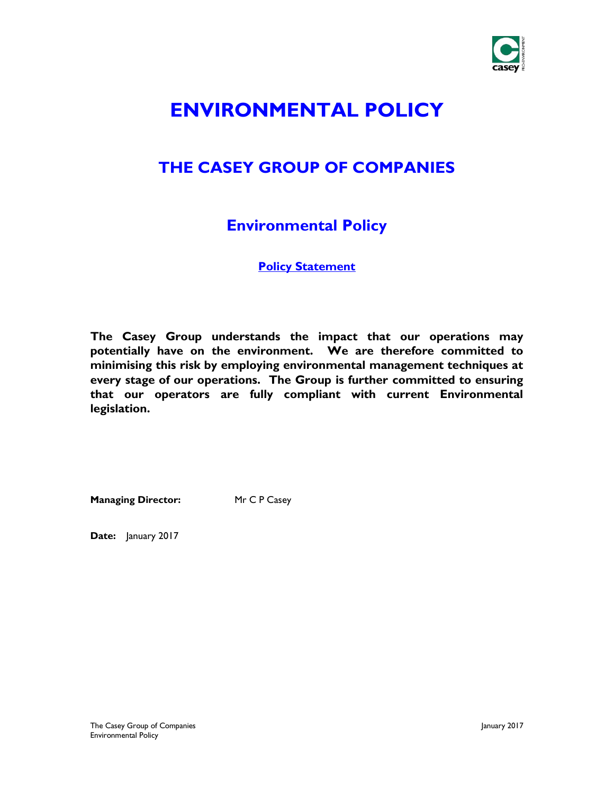

# **ENVIRONMENTAL POLICY**

### **THE CASEY GROUP OF COMPANIES**

### **Environmental Policy**

**Policy Statement**

**The Casey Group understands the impact that our operations may potentially have on the environment. We are therefore committed to minimising this risk by employing environmental management techniques at every stage of our operations. The Group is further committed to ensuring that our operators are fully compliant with current Environmental legislation.**

**Managing Director:** Mr C P Casey

**Date:** January 2017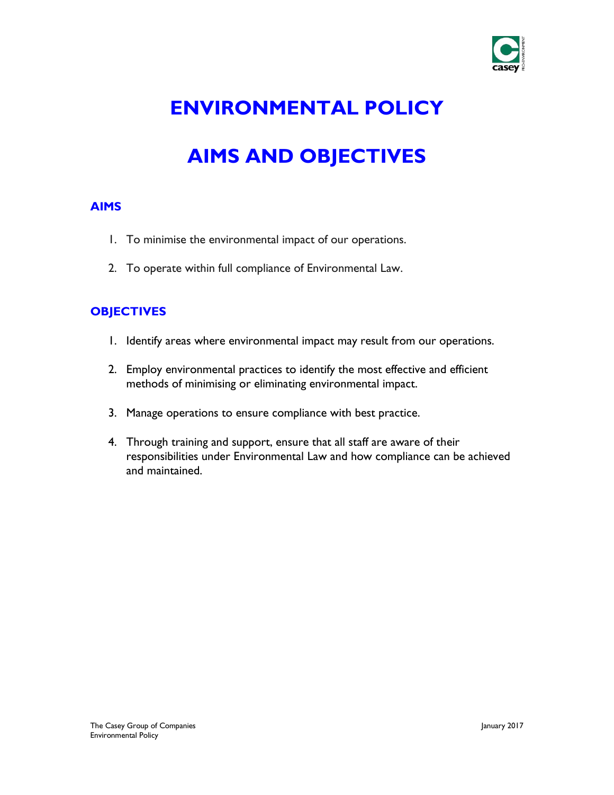

# **ENVIRONMENTAL POLICY**

# **AIMS AND OBJECTIVES**

#### **AIMS**

- 1. To minimise the environmental impact of our operations.
- 2. To operate within full compliance of Environmental Law.

#### **OBJECTIVES**

- 1. Identify areas where environmental impact may result from our operations.
- 2. Employ environmental practices to identify the most effective and efficient methods of minimising or eliminating environmental impact.
- 3. Manage operations to ensure compliance with best practice.
- 4. Through training and support, ensure that all staff are aware of their responsibilities under Environmental Law and how compliance can be achieved and maintained.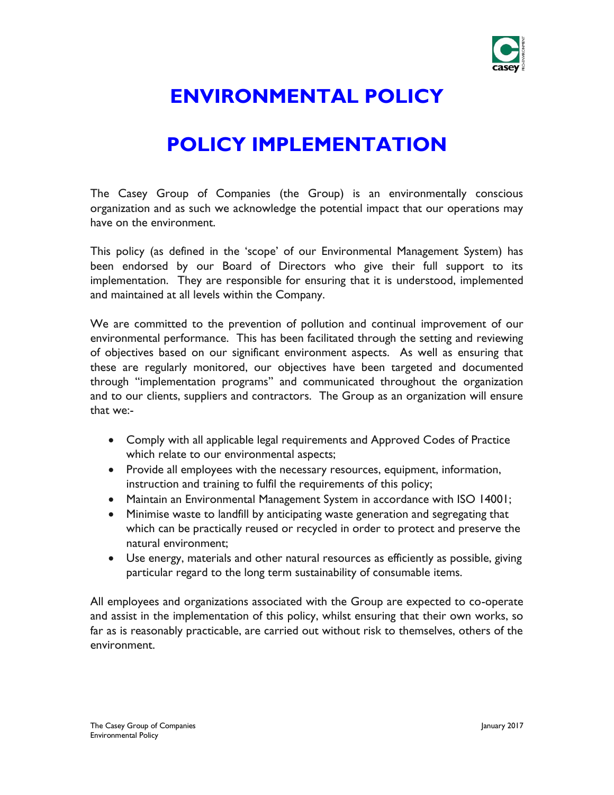

# **ENVIRONMENTAL POLICY**

## **POLICY IMPLEMENTATION**

The Casey Group of Companies (the Group) is an environmentally conscious organization and as such we acknowledge the potential impact that our operations may have on the environment.

This policy (as defined in the 'scope' of our Environmental Management System) has been endorsed by our Board of Directors who give their full support to its implementation. They are responsible for ensuring that it is understood, implemented and maintained at all levels within the Company.

We are committed to the prevention of pollution and continual improvement of our environmental performance. This has been facilitated through the setting and reviewing of objectives based on our significant environment aspects. As well as ensuring that these are regularly monitored, our objectives have been targeted and documented through "implementation programs" and communicated throughout the organization and to our clients, suppliers and contractors. The Group as an organization will ensure that we:-

- Comply with all applicable legal requirements and Approved Codes of Practice which relate to our environmental aspects;
- Provide all employees with the necessary resources, equipment, information, instruction and training to fulfil the requirements of this policy;
- Maintain an Environmental Management System in accordance with ISO 14001;
- Minimise waste to landfill by anticipating waste generation and segregating that which can be practically reused or recycled in order to protect and preserve the natural environment;
- Use energy, materials and other natural resources as efficiently as possible, giving particular regard to the long term sustainability of consumable items.

All employees and organizations associated with the Group are expected to co-operate and assist in the implementation of this policy, whilst ensuring that their own works, so far as is reasonably practicable, are carried out without risk to themselves, others of the environment.